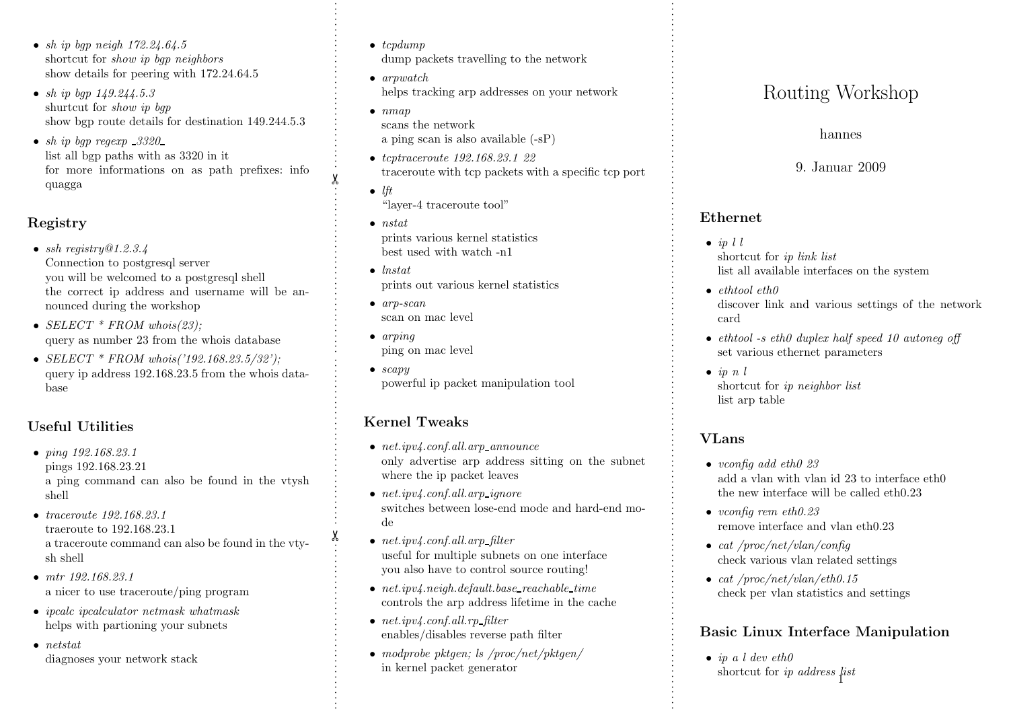- sh ip bqp neigh  $172.24.64.5$ shortcut for *show ip bap neighbors* show details for peering with 172.24.64.5
- sh ip bqp  $149.244.5.3$ shurtcut for *show ip* bqp show bgp route details for destination 149.244.5.3
- sh ip bgp regexp  $.3320$ list all bgp paths with as 3320 in it for more informations on as path prefixes: info quagga

# Registry

- ssh registry $@1.2.3.4$ Connection to postgresql server you will be welcomed to <sup>a</sup> postgresql shell the correct ip address and username will be announced during the workshop
- SELECT  $*$  FROM whois(23); query as number 23 from the whois database
- $SELECT * FROM who is('192.168.23.5/32')$ ; query ip address 192.168.23.5 from the whois database

### Useful Utilities

- ping 192.168.23.1 pings 192.168.23.21 <sup>a</sup> <sup>p</sup>ing command can also be found in the vtysh shell
- *traceroute* 192.168.23.1 traeroute to 192.168.23.1 <sup>a</sup> traceroute command can also be found in the vtysh shell
- mtr 192.168.23.1 <sup>a</sup> nicer to use traceroute/ping program
- *ipcalc ipcalculator netmask whatmask* helps with partioning your subnets
- netstat diagnoses your network stack
- $\bullet$  tcpdump dump packets travelling to the network
- arpwatch helps tracking arp addresses on your network
- $\bullet$  nmap scans the network <sup>a</sup> <sup>p</sup>ing scan is also available (-sP)
- tcptraceroute 192.168.23.1 22 traceroute with tcp packets with <sup>a</sup> specific tcp port
- $\bullet$  lft "layer-4 traceroute tool"
- nstat prints various kernel statistics best used with watch -n1
- lnstat prints out various kernel statistics
- arp-scan scan on mac level
- arping ping on mac level

. . . . . . . . . . . . . . . . . . . . . . . . . . . . . . . . ✂ . . . . . . . . . . . . . . . . . . . . . . . . . . . . . . . . . . . . . . . . . . . . . . . . . . . . . . . . . . . . . . . . ✂ . . . . . . . . . . . . . . . . . . . . . . . . . . . . . . . .

 $\bullet$  scapy powerful ip packet manipulation tool

# Kernel Tweaks

- $net.ipv4.conf. all.arp\_announce$ only advertise arp address sitting on the subnet where the ip packet leaves
- $net.ipv4.$ *conf.all.arp\_ignore* switches between lose-end mode and hard-end mode
- $net.ipv4.$ *conf.all.arp\_filter* useful for multiple subnets on one interface you also have to control source routing!
- $net.ipv4.neigh. default. base\_reachable_time$ controls the arp address lifetime in the cache
- $net.ipv4.conf. all. rp_{filter}$ enables/disables reverse path filter
- modprobe pktgen; ls /proc/net/pktgen/ in kernel packet generator

- $\bullet$  in 1.1 shortcut for ip link list list all available interfaces on the system
- ethtool eth0 discover link and various settings of the network card
- ethtool -s eth0 duplex half speed 10 autoneg off set various ethernet parameters
- $\bullet$  ip n l shortcut for ip neighbor list list arp table

# VLans

- Routling Workshop<br>
hannes<br>
9. Januar 2009<br>
hannes<br>
9. Januar 2009<br>
Ethernet<br>
 *in ll*<br>
shortcut for *in link list*<br>
list all available interfaces on the systemetric of the system of the state of the discover link and var • vconfig add eth $\theta$  23 add <sup>a</sup> vlan with vlan id 23 to interface eth0 the new interface will be called eth0.23
	- vconfig rem eth $0.23$ remove interface and vlan eth0.23
	- cat / $proc/net/vlan/config$ check various vlan related settings
	- cat  $\text{/proc/net/vlan/eth0.15}$ check per vlan statistics and settings

### Basic Linux Interface Manipulation

 $\bullet$  ip a l dev eth $\theta$ shortcut for *ip address*  $\hat{p}$ *ist*